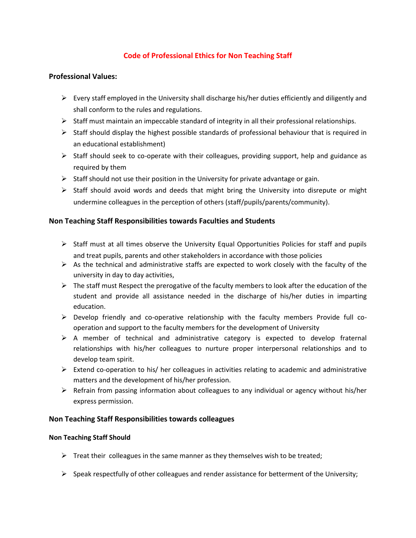# **Code of Professional Ethics for Non Teaching Staff**

# **Professional Values:**

- $\triangleright$  Every staff employed in the University shall discharge his/her duties efficiently and diligently and shall conform to the rules and regulations.
- $\triangleright$  Staff must maintain an impeccable standard of integrity in all their professional relationships.
- $\triangleright$  Staff should display the highest possible standards of professional behaviour that is required in an educational establishment)
- $\triangleright$  Staff should seek to co-operate with their colleagues, providing support, help and guidance as required by them
- $\triangleright$  Staff should not use their position in the University for private advantage or gain.
- $\triangleright$  Staff should avoid words and deeds that might bring the University into disrepute or might undermine colleagues in the perception of others (staff/pupils/parents/community).

# **Non Teaching Staff Responsibilities towards Faculties and Students**

- $\triangleright$  Staff must at all times observe the University Equal Opportunities Policies for staff and pupils and treat pupils, parents and other stakeholders in accordance with those policies
- $\triangleright$  As the technical and administrative staffs are expected to work closely with the faculty of the university in day to day activities,
- $\triangleright$  The staff must Respect the prerogative of the faculty members to look after the education of the student and provide all assistance needed in the discharge of his/her duties in imparting education.
- $\triangleright$  Develop friendly and co-operative relationship with the faculty members Provide full cooperation and support to the faculty members for the development of University
- $\triangleright$  A member of technical and administrative category is expected to develop fraternal relationships with his/her colleagues to nurture proper interpersonal relationships and to develop team spirit.
- $\triangleright$  Extend co-operation to his/ her colleagues in activities relating to academic and administrative matters and the development of his/her profession.
- $\triangleright$  Refrain from passing information about colleagues to any individual or agency without his/her express permission.

### **Non Teaching Staff Responsibilities towards colleagues**

### **Non Teaching Staff Should**

- $\triangleright$  Treat their colleagues in the same manner as they themselves wish to be treated;
- $\triangleright$  Speak respectfully of other colleagues and render assistance for betterment of the University;